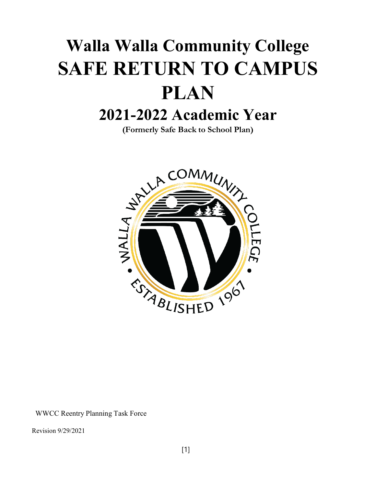# **Walla Walla Community College SAFE RETURN TO CAMPUS PLAN 2021-2022 Academic Year**

**(Formerly Safe Back to School Plan)**



WWCC Reentry Planning Task Force

Revision 9/29/2021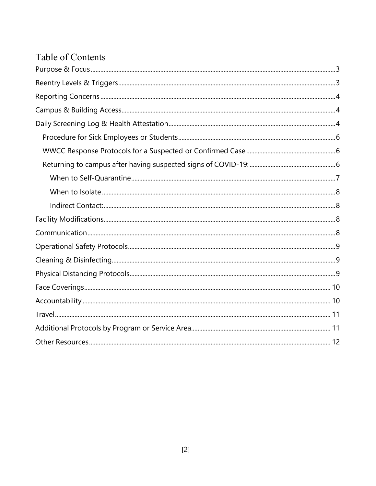# <span id="page-1-0"></span>Table of Contents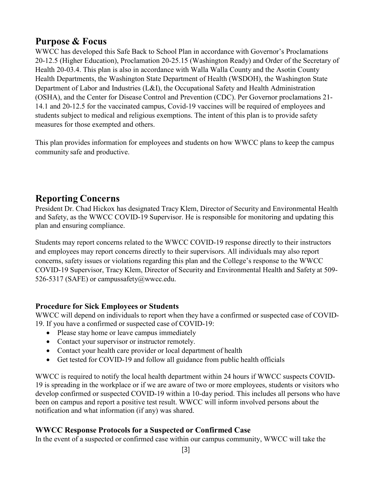### <span id="page-2-0"></span>**Purpose & Focus**

WWCC has developed this Safe Back to School Plan in accordance with Governor's Proclamations 20-12.5 (Higher Education), Proclamation 20-25.15 (Washington Ready) and Order of the Secretary of Health 20-03.4. This plan is also in accordance with Walla Walla County and the Asotin County Health Departments, the Washington State Department of Health (WSDOH), the Washington State Department of Labor and Industries (L&I), the Occupational Safety and Health Administration (OSHA), and the Center for Disease Control and Prevention (CDC). Per Governor proclamations 21- 14.1 and 20-12.5 for the vaccinated campus, Covid-19 vaccines will be required of employees and students subject to medical and religious exemptions. The intent of this plan is to provide safety measures for those exempted and others.

This plan provides information for employees and students on how WWCC plans to keep the campus community safe and productive.

## <span id="page-2-1"></span>**Reporting Concerns**

President Dr. Chad Hickox has designated Tracy Klem, Director of Security and Environmental Health and Safety, as the WWCC COVID-19 Supervisor. He is responsible for monitoring and updating this plan and ensuring compliance.

Students may report concerns related to the WWCC COVID-19 response directly to their instructors and employees may report concerns directly to their supervisors. All individuals may also report concerns, safety issues or violations regarding this plan and the College's response to the WWCC COVID-19 Supervisor, Tracy Klem, Director of Security and Environmental Health and Safety at 509- 526-5317 (SAFE) or [campussafety@wwcc.edu.](mailto:campussafety@wwcc.edu)

#### <span id="page-2-2"></span>**Procedure for Sick Employees or Students**

WWCC will depend on individuals to report when they have a confirmed or suspected case of COVID-19. If you have a confirmed or suspected case of COVID-19:

- Please stay home or leave campus immediately
- Contact your supervisor or instructor remotely.
- Contact your health care provider or local department of health
- Get tested for COVID-19 and follow all guidance from public health officials

WWCC is required to notify the local health department within 24 hours if WWCC suspects COVID-19 is spreading in the workplace or if we are aware of two or more employees, students or visitors who develop confirmed or suspected COVID-19 within a 10-day period. This includes all persons who have been on campus and report a positive test result. WWCC will inform involved persons about the notification and what information (if any) was shared.

#### <span id="page-2-3"></span>**WWCC Response Protocols for a Suspected or Confirmed Case**

In the event of a suspected or confirmed case within our campus community, WWCC will take the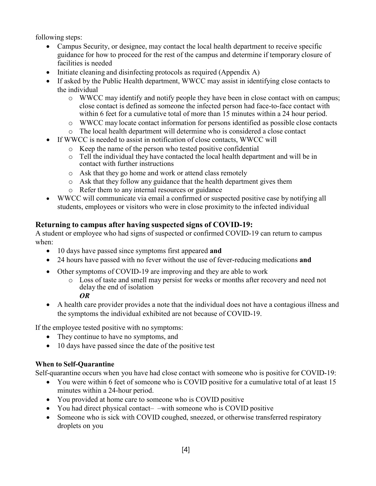following steps:

- Campus Security, or designee, may contact the local health department to receive specific guidance for how to proceed for the rest of the campus and determine if temporary closure of facilities is needed
- Initiate cleaning and disinfecting protocols as required (Appendix A)
- If asked by the Public Health department, WWCC may assist in identifying close contacts to the individual
	- o WWCC may identify and notify people they have been in close contact with on campus; close contact is defined as someone the infected person had face-to-face contact with within 6 feet for a cumulative total of more than 15 minutes within a 24 hour period.
	- o WWCC may locate contact information for persons identified as possible close contacts
	- o The local health department will determine who is considered a close contact
- If WWCC is needed to assist in notification of close contacts, WWCC will
	- o Keep the name of the person who tested positive confidential
	- o Tell the individual they have contacted the local health department and will be in contact with further instructions
	- o Ask that they go home and work or attend class remotely
	- o Ask that they follow any guidance that the health department gives them
	- o Refer them to any internal resources or guidance
- WWCC will communicate via email a confirmed or suspected positive case by notifying all students, employees or visitors who were in close proximity to the infected individual

#### <span id="page-3-0"></span>**Returning to campus after having suspected signs of COVID-19:**

A student or employee who had signs of suspected or confirmed COVID-19 can return to campus when:

- 10 days have passed since symptoms first appeared **and**
- 24 hours have passed with no fever without the use of fever-reducing medications **and**
- Other symptoms of COVID-19 are improving and they are able to work
	- o Loss of taste and smell may persist for weeks or months after recovery and need not delay the end of isolation

*OR*

• A health care provider provides a note that the individual does not have a contagious illness and the symptoms the individual exhibited are not because of COVID-19.

If the employee tested positive with no symptoms:

- They continue to have no symptoms, and
- 10 days have passed since the date of the positive test

#### <span id="page-3-1"></span>**When to Self-Quarantine**

Self-quarantine occurs when you have had close contact with someone who is positive for COVID-19:

- You were within 6 feet of someone who is COVID positive for a cumulative total of at least 15 minutes within a 24-hour period.
- You provided at home care to someone who is COVID positive
- You had direct physical contact— –with someone who is COVID positive
- Someone who is sick with COVID coughed, sneezed, or otherwise transferred respiratory droplets on you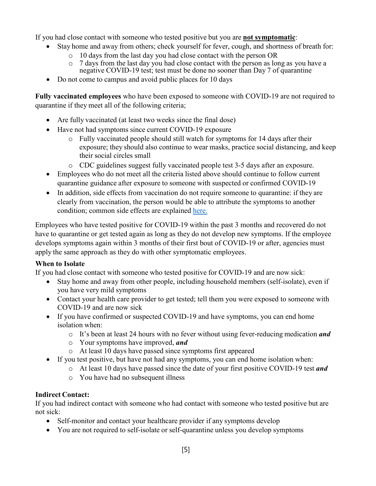If you had close contact with someone who tested positive but you are **not symptomatic**:

- Stay home and away from others; check yourself for fever, cough, and shortness of breath for:
	- $\circ$  10 days from the last day you had close contact with the person OR  $\circ$  7 days from the last day you had close contact with the nerson as lot
	- 7 days from the last day you had close contact with the person as long as you have a negative COVID-19 test; test must be done no sooner than Day 7 of quarantine
- Do not come to campus and avoid public places for 10 days

**Fully vaccinated employees** who have been exposed to someone with COVID-19 are not required to quarantine if they meet all of the following criteria;

- Are fully vaccinated (at least two weeks since the final dose)
- Have not had symptoms since current COVID-19 exposure
	- o Fully vaccinated people should still watch for symptoms for 14 days after their exposure; they should also continue to wear masks, practice social distancing, and keep their social circles small
	- o CDC guidelines suggest fully vaccinated people test 3-5 days after an exposure.
- Employees who do not meet all the criteria listed above should continue to follow current quarantine guidance after exposure to someone with suspected or confirmed COVID-19
- In addition, side effects from vaccination do not require someone to quarantine: if they are clearly from vaccination, the person would be able to attribute the symptoms to another condition; common side effects are explained [here.](https://www.cdc.gov/coronavirus/2019-ncov/vaccines/expect/after.html)

Employees who have tested positive for COVID-19 within the past 3 months and recovered do not have to quarantine or get tested again as long as they do not develop new symptoms. If the employee develops symptoms again within 3 months of their first bout of COVID-19 or after, agencies must apply the same approach as they do with other symptomatic employees.

#### <span id="page-4-0"></span>**When to Isolate**

If you had close contact with someone who tested positive for COVID-19 and are now sick:

- Stay home and away from other people, including household members (self-isolate), even if you have very mild symptoms
- Contact your health care provider to get tested; tell them you were exposed to someone with COVID-19 and are now sick
- If you have confirmed or suspected COVID-19 and have symptoms, you can end home isolation when:
	- o It's been at least 24 hours with no fever without using fever-reducing medication *and*
	- o Your symptoms have improved, *and*
	- o At least 10 days have passed since symptoms first appeared
- If you test positive, but have not had any symptoms, you can end home isolation when:
	- o At least 10 days have passed since the date of your first positive COVID-19 test *and*
	- o You have had no subsequent illness

#### <span id="page-4-1"></span>**Indirect Contact:**

If you had indirect contact with someone who had contact with someone who tested positive but are not sick:

- Self-monitor and contact your healthcare provider if any symptoms develop
- You are not required to self-isolate or self-quarantine unless you develop symptoms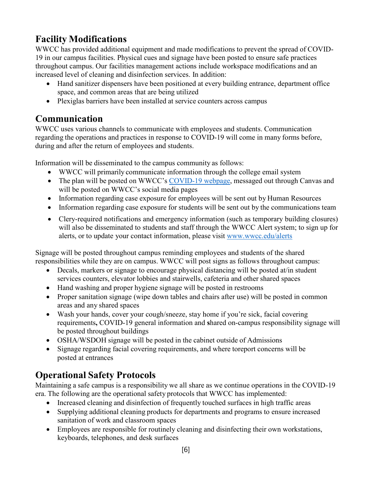# <span id="page-5-0"></span>**Facility Modifications**

WWCC has provided additional equipment and made modifications to prevent the spread of COVID-19 in our campus facilities. Physical cues and signage have been posted to ensure safe practices throughout campus. Our facilities management actions include workspace modifications and an increased level of cleaning and disinfection services. In addition:

- Hand sanitizer dispensers have been positioned at every building entrance, department office space, and common areas that are being utilized
- Plexiglas barriers have been installed at service counters across campus

# <span id="page-5-1"></span>**Communication**

WWCC uses various channels to communicate with employees and students. Communication regarding the operations and practices in response to COVID-19 will come in many forms before, during and after the return of employees and students.

Information will be disseminated to the campus community as follows:

- WWCC will primarily communicate information through the college email system
- The plan will be posted on WWCC's [COVID-19](http://www.wwcc.edu/coronavirus) webpage, messaged out through Canvas and will be posted on WWCC's social media pages
- Information regarding case exposure for employees will be sent out by Human Resources
- Information regarding case exposure for students will be sent out by the communications team
- Clery-required notifications and emergency information (such as temporary building closures) will also be disseminated to students and staff through the WWCC Alert system; to sign up for alerts, or to update your contact information, please visit [www.wwcc.edu/alerts](http://www.wwcc.edu/alerts)

Signage will be posted throughout campus reminding employees and students of the shared responsibilities while they are on campus. WWCC will post signs as follows throughout campus:

- Decals, markers or signage to encourage physical distancing will be posted at/in student services counters, elevator lobbies and stairwells, cafeteria and other shared spaces
- Hand washing and proper hygiene signage will be posted in restrooms
- Proper sanitation signage (wipe down tables and chairs after use) will be posted in common areas and any shared spaces
- Wash your hands, cover your cough/sneeze, stay home if you're sick, facial covering requirements**,** COVID-19 general information and **s**hared on-campus responsibility signage will be posted throughout buildings
- OSHA/WSDOH signage will be posted in the cabinet outside of Admissions
- Signage regarding facial covering requirements, and where toreport concerns will be posted at entrances

# <span id="page-5-2"></span>**Operational Safety Protocols**

Maintaining a safe campus is a responsibility we all share as we continue operations in the COVID-19 era. The following are the operational safety protocols that WWCC has implemented:

- Increased cleaning and disinfection of frequently touched surfaces in high traffic areas
- Supplying additional cleaning products for departments and programs to ensure increased sanitation of work and classroom spaces
- Employees are responsible for routinely cleaning and disinfecting their own workstations, keyboards, telephones, and desk surfaces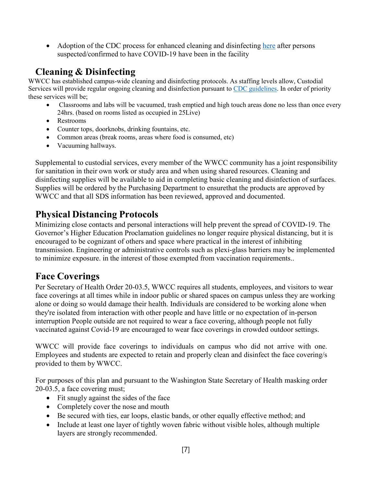• Adoption of the CDC process for enhanced cleaning and disinfecting [here](https://www.cdc.gov/coronavirus/2019-ncov/community/disinfecting-building-facility.html) after persons suspected/confirmed to have COVID-19 have been in the facility

## <span id="page-6-0"></span>**Cleaning & Disinfecting**

WWCC has established campus-wide cleaning and disinfecting protocols. As staffing levels allow, Custodial Services will provide regular ongoing cleaning and disinfection pursuant to [CDC guidelines.](https://www.cdc.gov/coronavirus/2019-ncov/community/disinfecting-building-facility.html) In order of priority these services will be;

- Classrooms and labs will be vacuumed, trash emptied and high touch areas done no less than once every 24hrs. (based on rooms listed as occupied in 25Live)
- Restrooms
- Counter tops, doorknobs, drinking fountains, etc.
- Common areas (break rooms, areas where food is consumed, etc)
- Vacuuming hallways.

Supplemental to custodial services, every member of the WWCC community has a joint responsibility for sanitation in their own work or study area and when using shared resources. Cleaning and disinfecting supplies will be available to aid in completing basic cleaning and disinfection of surfaces. Supplies will be ordered by the Purchasing Department to ensurethat the products are approved by WWCC and that all SDS information has been reviewed, approved and documented.

# <span id="page-6-1"></span>**Physical Distancing Protocols**

<span id="page-6-2"></span>Minimizing close contacts and personal interactions will help prevent the spread of COVID-19. The Governor's Higher Education Proclamation guidelines no longer require physical distancing, but it is encouraged to be cognizant of others and space where practical in the interest of inhibiting transmission. Engineering or administrative controls such as plexi-glass barriers may be implemented to minimize exposure. in the interest of those exempted from vaccination requirements..

## **Face Coverings**

Per Secretary of Health Order 20-03.5, WWCC requires all students, employees, and visitors to wear face coverings at all times while in indoor public or shared spaces on campus unless they are working alone or doing so would damage their health. Individuals are considered to be working alone when they're isolated from interaction with other people and have little or no expectation of in-person interruption People outside are not required to wear a face covering, although people not fully vaccinated against Covid-19 are encouraged to wear face coverings in crowded outdoor settings.

WWCC will provide face coverings to individuals on campus who did not arrive with one. Employees and students are expected to retain and properly clean and disinfect the face covering/s provided to them by WWCC.

For purposes of this plan and pursuant to the Washington State Secretary of Health masking order 20-03.5, a face covering must;

- Fit snugly against the sides of the face
- Completely cover the nose and mouth
- Be secured with ties, ear loops, elastic bands, or other equally effective method; and
- Include at least one layer of tightly woven fabric without visible holes, although multiple layers are strongly recommended.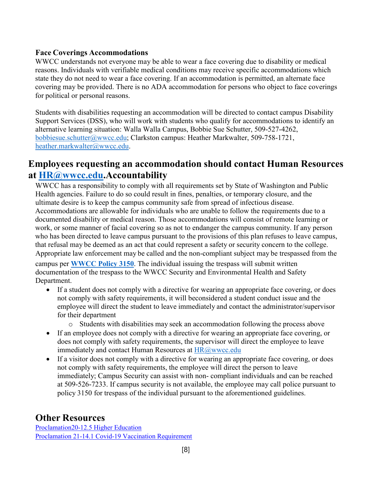#### **Face Coverings Accommodations**

WWCC understands not everyone may be able to wear a face covering due to disability or medical reasons. Individuals with verifiable medical conditions may receive specific accommodations which state they do not need to wear a face covering. If an accommodation is permitted, an alternate face covering may be provided. There is no ADA accommodation for persons who object to face coverings for political or personal reasons.

Students with disabilities requesting an accommodation will be directed to contact campus Disability Support Services (DSS), who will work with students who qualify for accommodations to identify an alternative learning situation: Walla Walla Campus, Bobbie Sue Schutter, 509-527-4262, [bobbiesue.schutter@wwcc.edu;](mailto:bobbiesue.schutter@wwcc.edu) Clarkston campus: Heather Markwalter, 509-758-1721, [heather.markwalter@wwcc.edu.](mailto:heather.markwalter@wwcc.edu)

#### **Employees requesting an accommodation should contact Human Resources at [HR@wwcc.edu.A](mailto:HR@wwcc.edu)ccountability**

<span id="page-7-0"></span>WWCC has a responsibility to comply with all requirements set by State of Washington and Public Health agencies. Failure to do so could result in fines, penalties, or temporary closure, and the ultimate desire is to keep the campus community safe from spread of infectious disease. Accommodations are allowable for individuals who are unable to follow the requirements due to a documented disability or medical reason. Those accommodations will consist of remote learning or work, or some manner of facial covering so as not to endanger the campus community. If any person who has been directed to leave campus pursuant to the provisions of this plan refuses to leave campus, that refusal may be deemed as an act that could represent a safety or security concern to the college. Appropriate law enforcement may be called and the non-compliant subject may be trespassed from the campus per **[WWCC Policy 3150](https://www.wwcc.edu/policies-procedures/wp-content/uploads/sites/40/2018/08/3150-Security-and-Access-to-Campus-Facilities-Policy.pdf)**. The individual issuing the trespass will submit written documentation of the trespass to the WWCC Security and Environmental Health and Safety

Department.

- If a student does not comply with a directive for wearing an appropriate face covering, or does not comply with safety requirements, it will beconsidered a student conduct issue and the employee will direct the student to leave immediately and contact the administrator/supervisor for their department
	- o Students with disabilities may seek an accommodation following the process above
- If an employee does not comply with a directive for wearing an appropriate face covering, or does not comply with safety requirements, the supervisor will direct the employee to leave immediately and contact Human Resources at **[HR@wwcc.edu](mailto:HR@wwcc.edu)**
- If a visitor does not comply with a directive for wearing an appropriate face covering, or does not comply with safety requirements, the employee will direct the person to leave immediately; Campus Security can assist with non‐ compliant individuals and can be reached at 509-526-7233. If campus security is not available, the employee may call police pursuant to policy 3150 for trespass of the individual pursuant to the aforementioned guidelines.

#### **Other Resources**

[Proclamation20-12.5](https://www.governor.wa.gov/sites/default/files/proclamations/proc_20-12.5.pdf?utm_medium=email&utm_source=govdelivery) Higher Education [Proclamation 21-14.1 Covid-19 Vaccination Requirement](https://www.governor.wa.gov/sites/default/files/proclamations/21-14.1%20-%20COVID-19%20Vax%20Washington%20Amendment.pdf?utm_medium=email&utm_source=govdelivery)